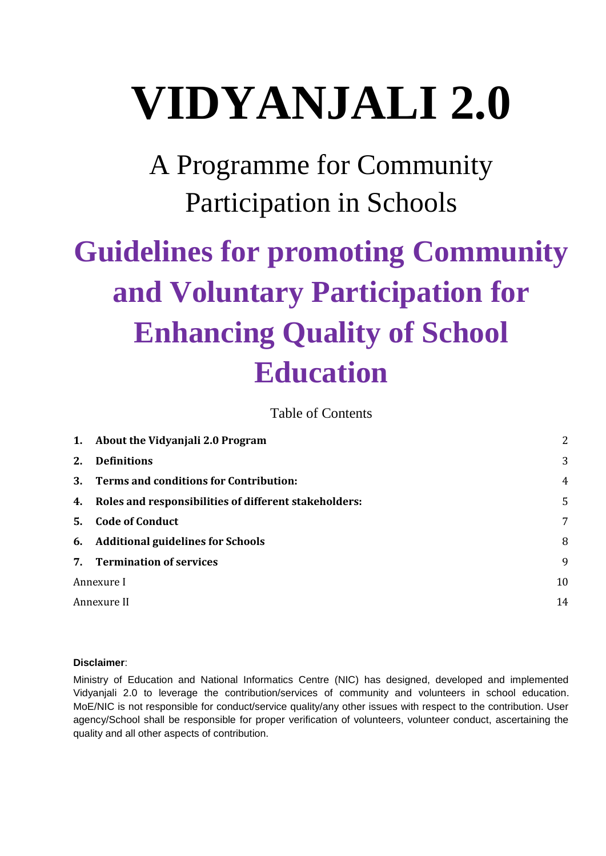# **VIDYANJALI 2.0**

A Programme for Community Participation in Schools

# **Guidelines for promoting Community and Voluntary Participation for Enhancing Quality of School Education**

Table of Contents

|    | 1. About the Vidyanjali 2.0 Program                      | 2              |
|----|----------------------------------------------------------|----------------|
| 2. | <b>Definitions</b>                                       | 3              |
|    | 3. Terms and conditions for Contribution:                | $\overline{4}$ |
|    | 4. Roles and responsibilities of different stakeholders: | 5              |
| 5. | <b>Code of Conduct</b>                                   | 7              |
|    | 6. Additional guidelines for Schools                     | 8              |
|    | 7. Termination of services                               | 9              |
|    | Annexure I                                               | 10             |
|    | Annexure II                                              | 14             |

#### **Disclaimer**:

Ministry of Education and National Informatics Centre (NIC) has designed, developed and implemented Vidyanjali 2.0 to leverage the contribution/services of community and volunteers in school education. MoE/NIC is not responsible for conduct/service quality/any other issues with respect to the contribution. User agency/School shall be responsible for proper verification of volunteers, volunteer conduct, ascertaining the quality and all other aspects of contribution.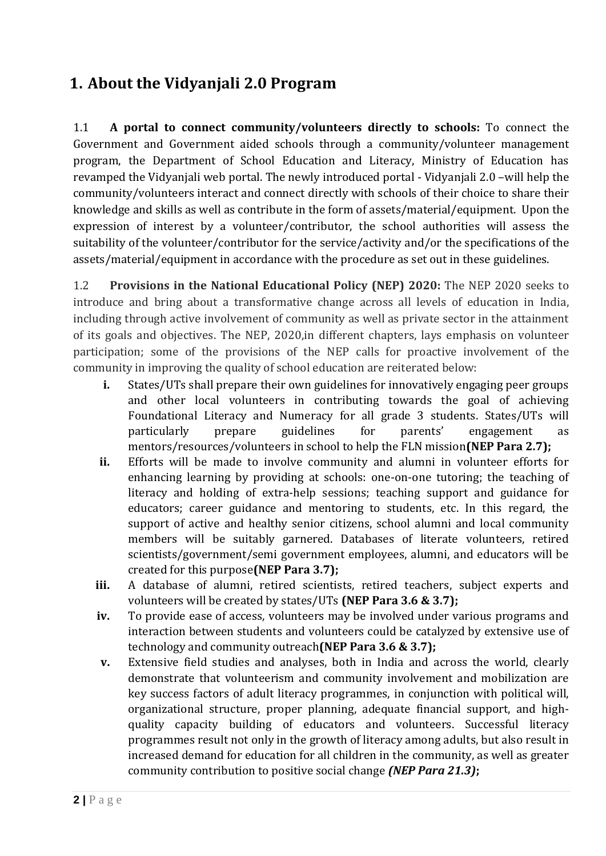# <span id="page-1-0"></span>**1. About the Vidyanjali 2.0 Program**

1.1 **A portal to connect community/volunteers directly to schools:** To connect the Government and Government aided schools through a community/volunteer management program, the Department of School Education and Literacy, Ministry of Education has revamped the Vidyanjali web portal. The newly introduced portal - Vidyanjali 2.0 –will help the community/volunteers interact and connect directly with schools of their choice to share their knowledge and skills as well as contribute in the form of assets/material/equipment. Upon the expression of interest by a volunteer/contributor, the school authorities will assess the suitability of the volunteer/contributor for the service/activity and/or the specifications of the assets/material/equipment in accordance with the procedure as set out in these guidelines.

1.2 **Provisions in the National Educational Policy (NEP) 2020:** The NEP 2020 seeks to introduce and bring about a transformative change across all levels of education in India, including through active involvement of community as well as private sector in the attainment of its goals and objectives. The NEP, 2020,in different chapters, lays emphasis on volunteer participation; some of the provisions of the NEP calls for proactive involvement of the community in improving the quality of school education are reiterated below:

- **i.** States/UTs shall prepare their own guidelines for innovatively engaging peer groups and other local volunteers in contributing towards the goal of achieving Foundational Literacy and Numeracy for all grade 3 students. States/UTs will particularly prepare guidelines for parents' engagement as mentors/resources/volunteers in school to help the FLN mission**(NEP Para 2.7);**
- **ii.** Efforts will be made to involve community and alumni in volunteer efforts for enhancing learning by providing at schools: one-on-one tutoring; the teaching of literacy and holding of extra-help sessions; teaching support and guidance for educators; career guidance and mentoring to students, etc. In this regard, the support of active and healthy senior citizens, school alumni and local community members will be suitably garnered. Databases of literate volunteers, retired scientists/government/semi government employees, alumni, and educators will be created for this purpose**(NEP Para 3.7);**
- **iii.** A database of alumni, retired scientists, retired teachers, subject experts and volunteers will be created by states/UTs **(NEP Para 3.6 & 3.7);**
- **iv.** To provide ease of access, volunteers may be involved under various programs and interaction between students and volunteers could be catalyzed by extensive use of technology and community outreach**(NEP Para 3.6 & 3.7);**
- **v.** Extensive field studies and analyses, both in India and across the world, clearly demonstrate that volunteerism and community involvement and mobilization are key success factors of adult literacy programmes, in conjunction with political will, organizational structure, proper planning, adequate financial support, and highquality capacity building of educators and volunteers. Successful literacy programmes result not only in the growth of literacy among adults, but also result in increased demand for education for all children in the community, as well as greater community contribution to positive social change *(NEP Para 21.3)***;**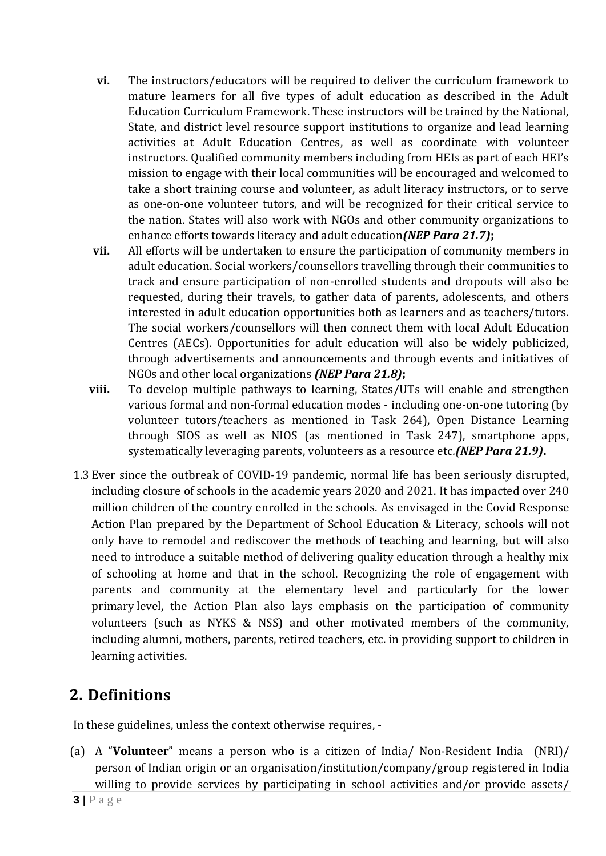- **vi.** The instructors/educators will be required to deliver the curriculum framework to mature learners for all five types of adult education as described in the Adult Education Curriculum Framework. These instructors will be trained by the National, State, and district level resource support institutions to organize and lead learning activities at Adult Education Centres, as well as coordinate with volunteer instructors. Qualified community members including from HEIs as part of each HEI's mission to engage with their local communities will be encouraged and welcomed to take a short training course and volunteer, as adult literacy instructors, or to serve as one-on-one volunteer tutors, and will be recognized for their critical service to the nation. States will also work with NGOs and other community organizations to enhance efforts towards literacy and adult education*(NEP Para 21.7)***;**
- **vii.** All efforts will be undertaken to ensure the participation of community members in adult education. Social workers/counsellors travelling through their communities to track and ensure participation of non-enrolled students and dropouts will also be requested, during their travels, to gather data of parents, adolescents, and others interested in adult education opportunities both as learners and as teachers/tutors. The social workers/counsellors will then connect them with local Adult Education Centres (AECs). Opportunities for adult education will also be widely publicized, through advertisements and announcements and through events and initiatives of NGOs and other local organizations *(NEP Para 21.8)***;**
- **viii.** To develop multiple pathways to learning, States/UTs will enable and strengthen various formal and non-formal education modes - including one-on-one tutoring (by volunteer tutors/teachers as mentioned in Task 264), Open Distance Learning through SIOS as well as NIOS (as mentioned in Task 247), smartphone apps, systematically leveraging parents, volunteers as a resource etc*.(NEP Para 21.9)***.**
- 1.3 Ever since the outbreak of COVID-19 pandemic, normal life has been seriously disrupted, including closure of schools in the academic years 2020 and 2021. It has impacted over 240 million children of the country enrolled in the schools. As envisaged in the Covid Response Action Plan prepared by the Department of School Education & Literacy, schools will not only have to remodel and rediscover the methods of teaching and learning, but will also need to introduce a suitable method of delivering quality education through a healthy mix of schooling at home and that in the school. Recognizing the role of engagement with parents and community at the elementary level and particularly for the lower primary level, the Action Plan also lays emphasis on the participation of community volunteers (such as NYKS & NSS) and other motivated members of the community, including alumni, mothers, parents, retired teachers, etc. in providing support to children in learning activities.

# <span id="page-2-0"></span>**2. Definitions**

In these guidelines, unless the context otherwise requires, -

(a) A "**Volunteer**" means a person who is a citizen of India/ Non-Resident India (NRI)/ person of Indian origin or an organisation/institution/company/group registered in India willing to provide services by participating in school activities and/or provide assets/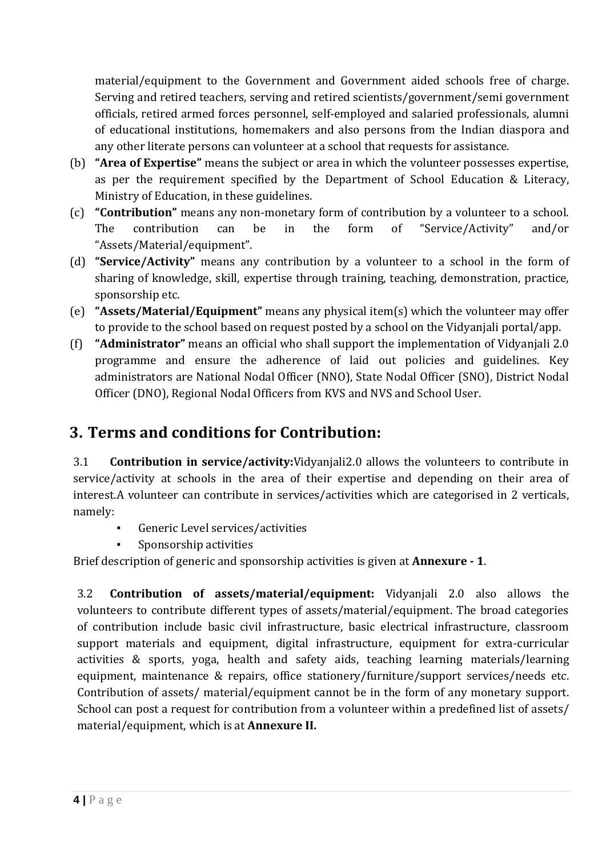material/equipment to the Government and Government aided schools free of charge. Serving and retired teachers, serving and retired scientists/government/semi government officials, retired armed forces personnel, self-employed and salaried professionals, alumni of educational institutions, homemakers and also persons from the Indian diaspora and any other literate persons can volunteer at a school that requests for assistance.

- (b) **"Area of Expertise"** means the subject or area in which the volunteer possesses expertise, as per the requirement specified by the Department of School Education & Literacy, Ministry of Education, in these guidelines.
- (c) **"Contribution"** means any non-monetary form of contribution by a volunteer to a school. The contribution can be in the form of "Service/Activity" and/or "Assets/Material/equipment".
- (d) **"Service/Activity"** means any contribution by a volunteer to a school in the form of sharing of knowledge, skill, expertise through training, teaching, demonstration, practice, sponsorship etc.
- (e) **"Assets/Material/Equipment"** means any physical item(s) which the volunteer may offer to provide to the school based on request posted by a school on the Vidyanjali portal/app.
- (f) **"Administrator"** means an official who shall support the implementation of Vidyanjali 2.0 programme and ensure the adherence of laid out policies and guidelines. Key administrators are National Nodal Officer (NNO), State Nodal Officer (SNO), District Nodal Officer (DNO), Regional Nodal Officers from KVS and NVS and School User.

# <span id="page-3-0"></span>**3. Terms and conditions for Contribution:**

3.1 **Contribution in service/activity:**Vidyanjali2.0 allows the volunteers to contribute in service/activity at schools in the area of their expertise and depending on their area of interest.A volunteer can contribute in services/activities which are categorised in 2 verticals, namely:

- Generic Level services/activities
- **▪** Sponsorship activities

Brief description of generic and sponsorship activities is given at **Annexure - 1**.

3.2 **Contribution of assets/material/equipment:** Vidyanjali 2.0 also allows the volunteers to contribute different types of assets/material/equipment. The broad categories of contribution include basic civil infrastructure, basic electrical infrastructure, classroom support materials and equipment, digital infrastructure, equipment for extra-curricular activities & sports, yoga, health and safety aids, teaching learning materials/learning equipment, maintenance & repairs, office stationery/furniture/support services/needs etc. Contribution of assets/ material/equipment cannot be in the form of any monetary support. School can post a request for contribution from a volunteer within a predefined list of assets/ material/equipment, which is at **Annexure II.**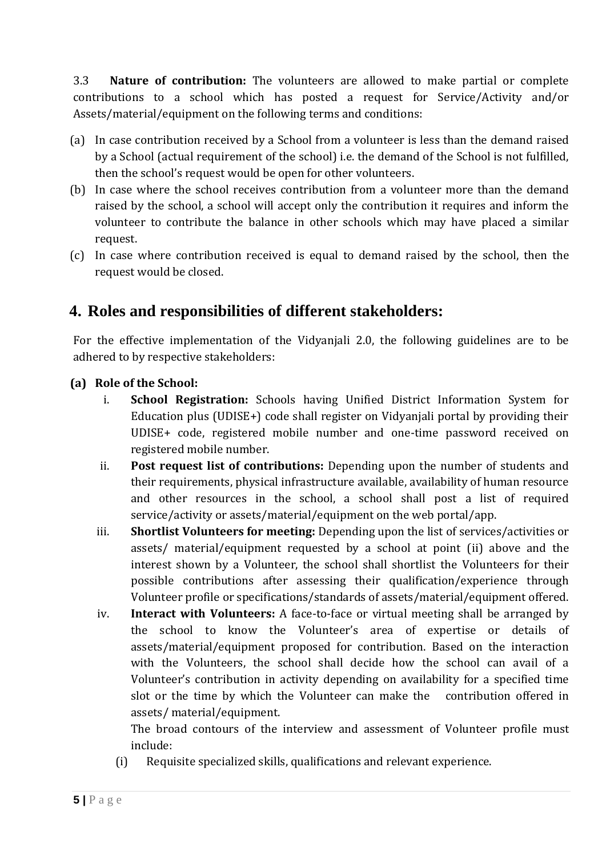3.3 **Nature of contribution:** The volunteers are allowed to make partial or complete contributions to a school which has posted a request for Service/Activity and/or Assets/material/equipment on the following terms and conditions:

- (a) In case contribution received by a School from a volunteer is less than the demand raised by a School (actual requirement of the school) i.e. the demand of the School is not fulfilled, then the school's request would be open for other volunteers.
- (b) In case where the school receives contribution from a volunteer more than the demand raised by the school, a school will accept only the contribution it requires and inform the volunteer to contribute the balance in other schools which may have placed a similar request.
- (c) In case where contribution received is equal to demand raised by the school, then the request would be closed.

# <span id="page-4-0"></span>**4. Roles and responsibilities of different stakeholders:**

For the effective implementation of the Vidyanjali 2.0, the following guidelines are to be adhered to by respective stakeholders:

#### **(a) Role of the School:**

- i. **School Registration:** Schools having Unified District Information System for Education plus (UDISE+) code shall register on Vidyanjali portal by providing their UDISE+ code, registered mobile number and one-time password received on registered mobile number.
- ii. **Post request list of contributions:** Depending upon the number of students and their requirements, physical infrastructure available, availability of human resource and other resources in the school, a school shall post a list of required service/activity or assets/material/equipment on the web portal/app.
- iii. **Shortlist Volunteers for meeting:** Depending upon the list of services/activities or assets/ material/equipment requested by a school at point (ii) above and the interest shown by a Volunteer, the school shall shortlist the Volunteers for their possible contributions after assessing their qualification/experience through Volunteer profile or specifications/standards of assets/material/equipment offered.
- iv. **Interact with Volunteers:** A face-to-face or virtual meeting shall be arranged by the school to know the Volunteer's area of expertise or details of assets/material/equipment proposed for contribution. Based on the interaction with the Volunteers, the school shall decide how the school can avail of a Volunteer's contribution in activity depending on availability for a specified time slot or the time by which the Volunteer can make the contribution offered in assets/ material/equipment.

The broad contours of the interview and assessment of Volunteer profile must include:

(i) Requisite specialized skills, qualifications and relevant experience.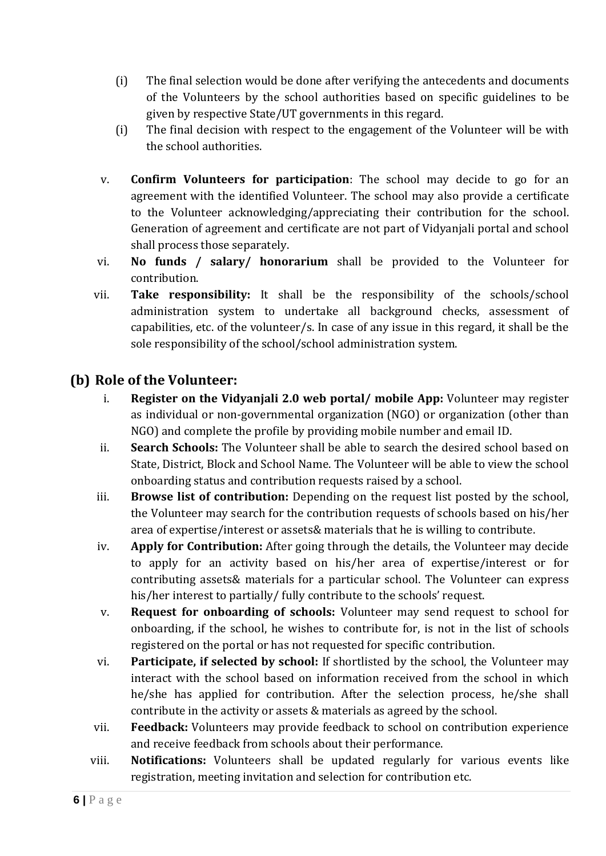- (i) The final selection would be done after verifying the antecedents and documents of the Volunteers by the school authorities based on specific guidelines to be given by respective State/UT governments in this regard.
- (i) The final decision with respect to the engagement of the Volunteer will be with the school authorities.
- v. **Confirm Volunteers for participation**: The school may decide to go for an agreement with the identified Volunteer. The school may also provide a certificate to the Volunteer acknowledging/appreciating their contribution for the school. Generation of agreement and certificate are not part of Vidyanjali portal and school shall process those separately.
- vi. **No funds / salary/ honorarium** shall be provided to the Volunteer for contribution.
- vii. **Take responsibility:** It shall be the responsibility of the schools/school administration system to undertake all background checks, assessment of capabilities, etc. of the volunteer/s. In case of any issue in this regard, it shall be the sole responsibility of the school/school administration system.

# **(b) Role of the Volunteer:**

- i. **Register on the Vidyanjali 2.0 web portal/ mobile App:** Volunteer may register as individual or non-governmental organization (NGO) or organization (other than NGO) and complete the profile by providing mobile number and email ID.
- ii. **Search Schools:** The Volunteer shall be able to search the desired school based on State, District, Block and School Name. The Volunteer will be able to view the school onboarding status and contribution requests raised by a school.
- iii. **Browse list of contribution:** Depending on the request list posted by the school, the Volunteer may search for the contribution requests of schools based on his/her area of expertise/interest or assets& materials that he is willing to contribute.
- iv. **Apply for Contribution:** After going through the details, the Volunteer may decide to apply for an activity based on his/her area of expertise/interest or for contributing assets& materials for a particular school. The Volunteer can express his/her interest to partially/ fully contribute to the schools' request.
- v. **Request for onboarding of schools:** Volunteer may send request to school for onboarding, if the school, he wishes to contribute for, is not in the list of schools registered on the portal or has not requested for specific contribution.
- vi. **Participate, if selected by school:** If shortlisted by the school, the Volunteer may interact with the school based on information received from the school in which he/she has applied for contribution. After the selection process, he/she shall contribute in the activity or assets & materials as agreed by the school.
- vii. **Feedback:** Volunteers may provide feedback to school on contribution experience and receive feedback from schools about their performance.
- viii. **Notifications:** Volunteers shall be updated regularly for various events like registration, meeting invitation and selection for contribution etc.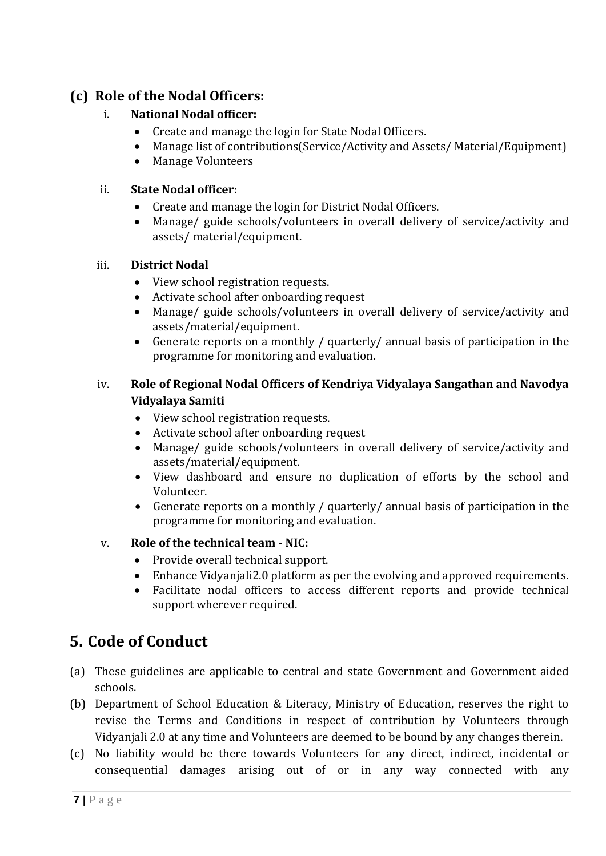# **(c) Role of the Nodal Officers:**

# i. **National Nodal officer:**

- Create and manage the login for State Nodal Officers.
- Manage list of contributions(Service/Activity and Assets/ Material/Equipment)
- Manage Volunteers

#### ii. **State Nodal officer:**

- Create and manage the login for District Nodal Officers.
- Manage/ guide schools/volunteers in overall delivery of service/activity and assets/ material/equipment.

#### iii. **District Nodal**

- View school registration requests.
- Activate school after onboarding request
- Manage/ guide schools/volunteers in overall delivery of service/activity and assets/material/equipment.
- Generate reports on a monthly / quarterly/ annual basis of participation in the programme for monitoring and evaluation.

# iv. **Role of Regional Nodal Officers of Kendriya Vidyalaya Sangathan and Navodya Vidyalaya Samiti**

- View school registration requests.
- Activate school after onboarding request
- Manage/ guide schools/volunteers in overall delivery of service/activity and assets/material/equipment.
- View dashboard and ensure no duplication of efforts by the school and Volunteer.
- Generate reports on a monthly / quarterly/ annual basis of participation in the programme for monitoring and evaluation.

# v. **Role of the technical team - NIC:**

- Provide overall technical support.
- Enhance Vidyanjali2.0 platform as per the evolving and approved requirements.
- Facilitate nodal officers to access different reports and provide technical support wherever required.

# <span id="page-6-0"></span>**5. Code of Conduct**

- (a) These guidelines are applicable to central and state Government and Government aided schools.
- (b) Department of School Education & Literacy, Ministry of Education, reserves the right to revise the Terms and Conditions in respect of contribution by Volunteers through Vidyanjali 2.0 at any time and Volunteers are deemed to be bound by any changes therein.
- (c) No liability would be there towards Volunteers for any direct, indirect, incidental or consequential damages arising out of or in any way connected with any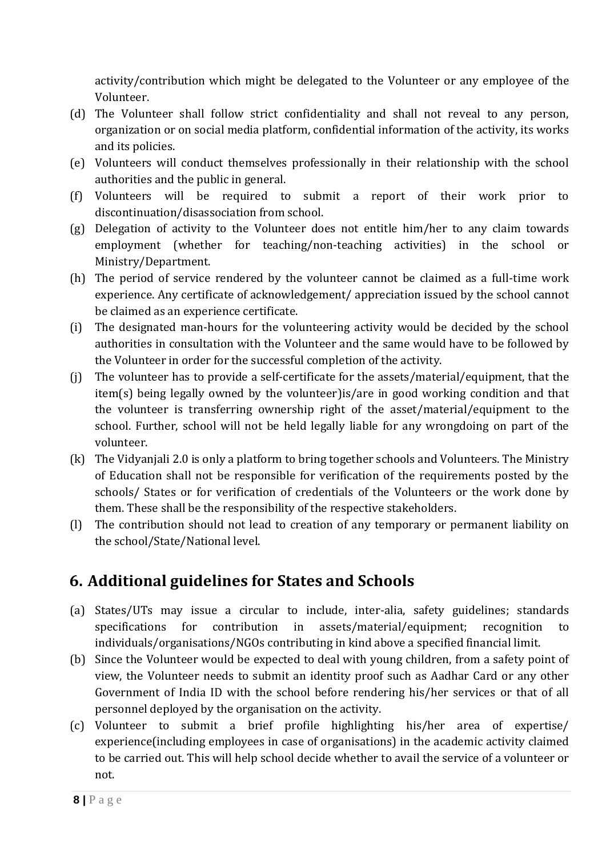activity/contribution which might be delegated to the Volunteer or any employee of the Volunteer.

- (d) The Volunteer shall follow strict confidentiality and shall not reveal to any person, organization or on social media platform, confidential information of the activity, its works and its policies.
- (e) Volunteers will conduct themselves professionally in their relationship with the school authorities and the public in general.
- (f) Volunteers will be required to submit a report of their work prior to discontinuation/disassociation from school.
- (g) Delegation of activity to the Volunteer does not entitle him/her to any claim towards employment (whether for teaching/non-teaching activities) in the school or Ministry/Department.
- (h) The period of service rendered by the volunteer cannot be claimed as a full-time work experience. Any certificate of acknowledgement/ appreciation issued by the school cannot be claimed as an experience certificate.
- (i) The designated man-hours for the volunteering activity would be decided by the school authorities in consultation with the Volunteer and the same would have to be followed by the Volunteer in order for the successful completion of the activity.
- (j) The volunteer has to provide a self-certificate for the assets/material/equipment, that the item(s) being legally owned by the volunteer)is/are in good working condition and that the volunteer is transferring ownership right of the asset/material/equipment to the school. Further, school will not be held legally liable for any wrongdoing on part of the volunteer.
- (k) The Vidyanjali 2.0 is only a platform to bring together schools and Volunteers. The Ministry of Education shall not be responsible for verification of the requirements posted by the schools/ States or for verification of credentials of the Volunteers or the work done by them. These shall be the responsibility of the respective stakeholders.
- (l) The contribution should not lead to creation of any temporary or permanent liability on the school/State/National level.

# <span id="page-7-0"></span>**6. Additional guidelines for States and Schools**

- (a) States/UTs may issue a circular to include, inter-alia, safety guidelines; standards specifications for contribution in assets/material/equipment; recognition to individuals/organisations/NGOs contributing in kind above a specified financial limit.
- (b) Since the Volunteer would be expected to deal with young children, from a safety point of view, the Volunteer needs to submit an identity proof such as Aadhar Card or any other Government of India ID with the school before rendering his/her services or that of all personnel deployed by the organisation on the activity.
- (c) Volunteer to submit a brief profile highlighting his/her area of expertise/ experience(including employees in case of organisations) in the academic activity claimed to be carried out. This will help school decide whether to avail the service of a volunteer or not.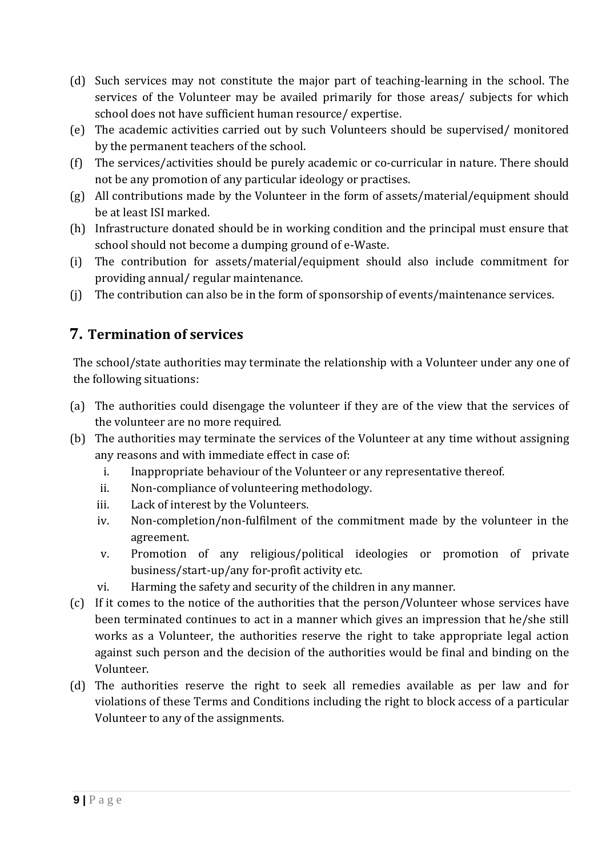- (d) Such services may not constitute the major part of teaching-learning in the school. The services of the Volunteer may be availed primarily for those areas/ subjects for which school does not have sufficient human resource/ expertise.
- (e) The academic activities carried out by such Volunteers should be supervised/ monitored by the permanent teachers of the school.
- (f) The services/activities should be purely academic or co-curricular in nature. There should not be any promotion of any particular ideology or practises.
- (g) All contributions made by the Volunteer in the form of assets/material/equipment should be at least ISI marked.
- (h) Infrastructure donated should be in working condition and the principal must ensure that school should not become a dumping ground of e-Waste.
- (i) The contribution for assets/material/equipment should also include commitment for providing annual/ regular maintenance.
- <span id="page-8-0"></span>(j) The contribution can also be in the form of sponsorship of events/maintenance services.

# **7. Termination of services**

The school/state authorities may terminate the relationship with a Volunteer under any one of the following situations:

- (a) The authorities could disengage the volunteer if they are of the view that the services of the volunteer are no more required.
- (b) The authorities may terminate the services of the Volunteer at any time without assigning any reasons and with immediate effect in case of:
	- i. Inappropriate behaviour of the Volunteer or any representative thereof.
	- ii. Non-compliance of volunteering methodology.
	- iii. Lack of interest by the Volunteers.
	- iv. Non-completion/non-fulfilment of the commitment made by the volunteer in the agreement.
	- v. Promotion of any religious/political ideologies or promotion of private business/start-up/any for-profit activity etc.
	- vi. Harming the safety and security of the children in any manner.
- (c) If it comes to the notice of the authorities that the person/Volunteer whose services have been terminated continues to act in a manner which gives an impression that he/she still works as a Volunteer, the authorities reserve the right to take appropriate legal action against such person and the decision of the authorities would be final and binding on the Volunteer.
- (d) The authorities reserve the right to seek all remedies available as per law and for violations of these Terms and Conditions including the right to block access of a particular Volunteer to any of the assignments.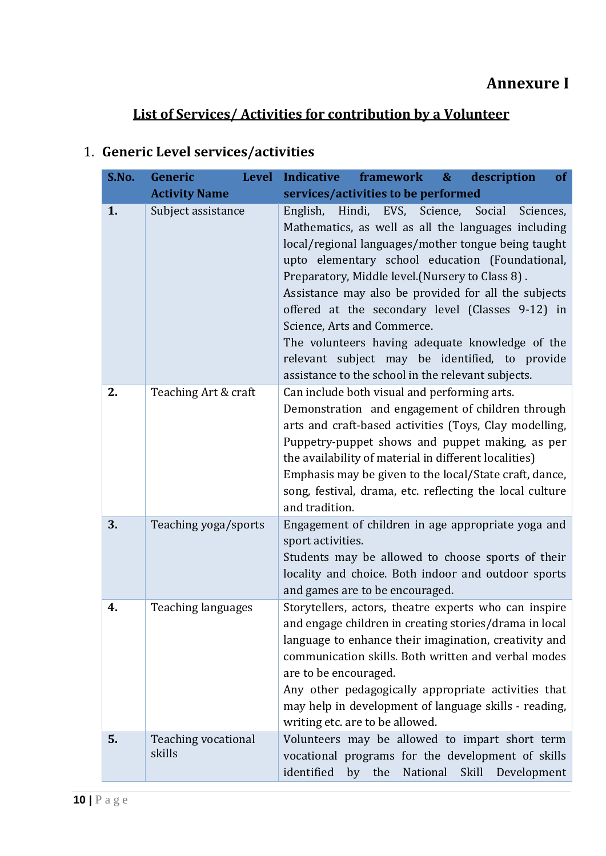# <span id="page-9-0"></span>**List of Services/ Activities for contribution by a Volunteer**

| S.No. | Generic                                    | Level Indicative<br>framework &<br>description<br><b>of</b>                                                                                                                                                                                                                                                                                                                                                                                                                                                                                                                                                               |
|-------|--------------------------------------------|---------------------------------------------------------------------------------------------------------------------------------------------------------------------------------------------------------------------------------------------------------------------------------------------------------------------------------------------------------------------------------------------------------------------------------------------------------------------------------------------------------------------------------------------------------------------------------------------------------------------------|
| 1.    | <b>Activity Name</b><br>Subject assistance | services/activities to be performed<br>Hindi, EVS, Science,<br>English,<br>Social<br>Sciences,<br>Mathematics, as well as all the languages including<br>local/regional languages/mother tongue being taught<br>upto elementary school education (Foundational,<br>Preparatory, Middle level. (Nursery to Class 8).<br>Assistance may also be provided for all the subjects<br>offered at the secondary level (Classes 9-12) in<br>Science, Arts and Commerce.<br>The volunteers having adequate knowledge of the<br>relevant subject may be identified, to provide<br>assistance to the school in the relevant subjects. |
| 2.    | Teaching Art & craft                       | Can include both visual and performing arts.<br>Demonstration and engagement of children through<br>arts and craft-based activities (Toys, Clay modelling,<br>Puppetry-puppet shows and puppet making, as per<br>the availability of material in different localities)<br>Emphasis may be given to the local/State craft, dance,<br>song, festival, drama, etc. reflecting the local culture<br>and tradition.                                                                                                                                                                                                            |
| 3.    | Teaching yoga/sports                       | Engagement of children in age appropriate yoga and<br>sport activities.<br>Students may be allowed to choose sports of their<br>locality and choice. Both indoor and outdoor sports<br>and games are to be encouraged.                                                                                                                                                                                                                                                                                                                                                                                                    |
| 4.    | Teaching languages                         | Storytellers, actors, theatre experts who can inspire<br>and engage children in creating stories/drama in local<br>language to enhance their imagination, creativity and<br>communication skills. Both written and verbal modes<br>are to be encouraged.<br>Any other pedagogically appropriate activities that<br>may help in development of language skills - reading,<br>writing etc. are to be allowed.                                                                                                                                                                                                               |
| 5.    | <b>Teaching vocational</b><br>skills       | Volunteers may be allowed to impart short term<br>vocational programs for the development of skills<br>identified<br>by the National Skill Development                                                                                                                                                                                                                                                                                                                                                                                                                                                                    |

# 1. **Generic Level services/activities**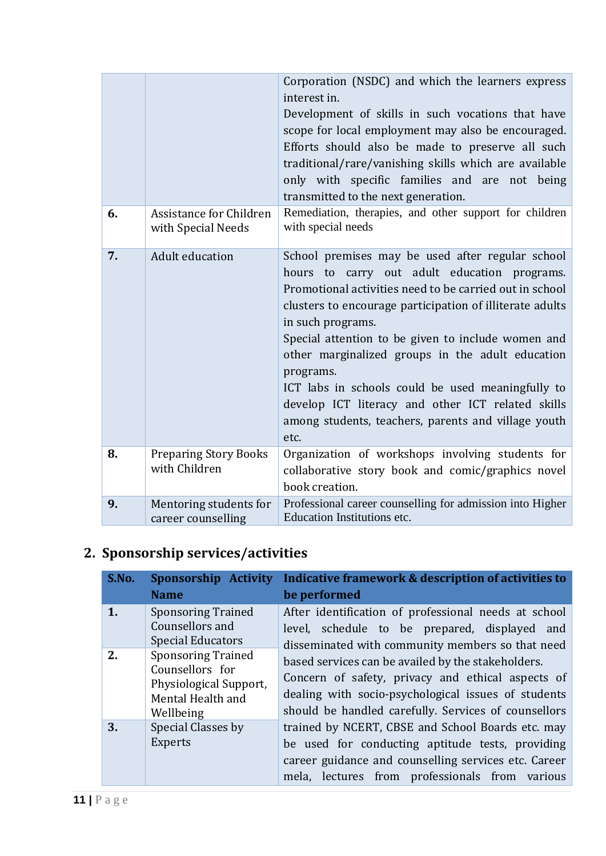|    |                                               | Corporation (NSDC) and which the learners express<br>interest in.<br>Development of skills in such vocations that have<br>scope for local employment may also be encouraged.<br>Efforts should also be made to preserve all such<br>traditional/rare/vanishing skills which are available<br>only with specific families and are not being<br>transmitted to the next generation.                                                                                                                                                            |
|----|-----------------------------------------------|----------------------------------------------------------------------------------------------------------------------------------------------------------------------------------------------------------------------------------------------------------------------------------------------------------------------------------------------------------------------------------------------------------------------------------------------------------------------------------------------------------------------------------------------|
| 6. | Assistance for Children<br>with Special Needs | Remediation, therapies, and other support for children<br>with special needs                                                                                                                                                                                                                                                                                                                                                                                                                                                                 |
| 7. | Adult education                               | School premises may be used after regular school<br>hours to carry out adult education programs.<br>Promotional activities need to be carried out in school<br>clusters to encourage participation of illiterate adults<br>in such programs.<br>Special attention to be given to include women and<br>other marginalized groups in the adult education<br>programs.<br>ICT labs in schools could be used meaningfully to<br>develop ICT literacy and other ICT related skills<br>among students, teachers, parents and village youth<br>etc. |
| 8. | <b>Preparing Story Books</b><br>with Children | Organization of workshops involving students for<br>collaborative story book and comic/graphics novel<br>book creation.                                                                                                                                                                                                                                                                                                                                                                                                                      |
| 9. | Mentoring students for<br>career counselling  | Professional career counselling for admission into Higher<br>Education Institutions etc.                                                                                                                                                                                                                                                                                                                                                                                                                                                     |

# **2. Sponsorship services/activities**

| S.No. | Sponsorship Activity<br><b>Name</b>                                                                      | Indicative framework & description of activities to<br>be performed                                                                                                                                                    |
|-------|----------------------------------------------------------------------------------------------------------|------------------------------------------------------------------------------------------------------------------------------------------------------------------------------------------------------------------------|
| 1.    | <b>Sponsoring Trained</b><br>Counsellors and<br><b>Special Educators</b>                                 | After identification of professional needs at school<br>level, schedule to be prepared, displayed and<br>disseminated with community members so that need                                                              |
| 2.    | <b>Sponsoring Trained</b><br>Counsellors for<br>Physiological Support,<br>Mental Health and<br>Wellbeing | based services can be availed by the stakeholders.<br>Concern of safety, privacy and ethical aspects of<br>dealing with socio-psychological issues of students<br>should be handled carefully. Services of counsellors |
| 3.    | Special Classes by<br><b>Experts</b>                                                                     | trained by NCERT, CBSE and School Boards etc. may<br>be used for conducting aptitude tests, providing<br>career guidance and counselling services etc. Career<br>mela, lectures from professionals from various        |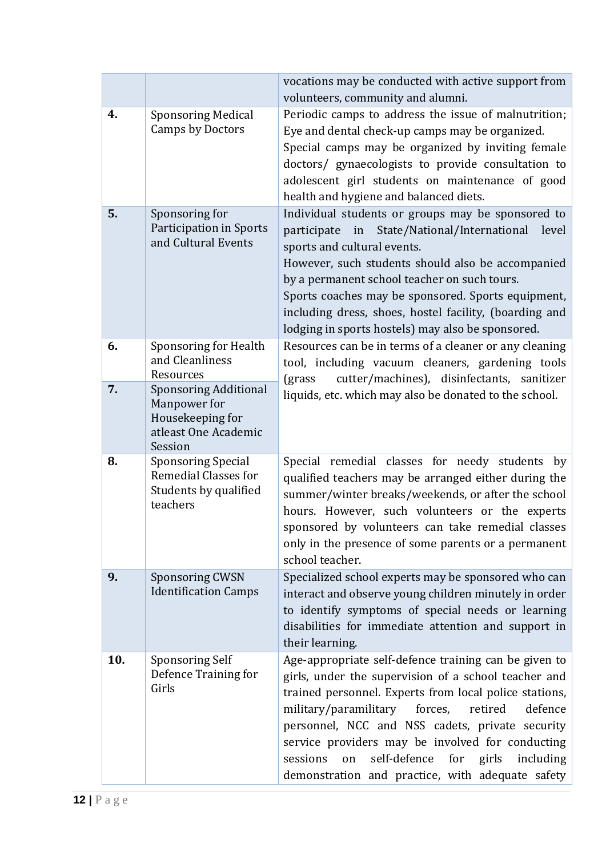|     |                                                                                                     | vocations may be conducted with active support from<br>volunteers, community and alumni.                                                                                                                                                                                                                                                                                                                                                                 |
|-----|-----------------------------------------------------------------------------------------------------|----------------------------------------------------------------------------------------------------------------------------------------------------------------------------------------------------------------------------------------------------------------------------------------------------------------------------------------------------------------------------------------------------------------------------------------------------------|
| 4.  | <b>Sponsoring Medical</b><br><b>Camps by Doctors</b>                                                | Periodic camps to address the issue of malnutrition;<br>Eye and dental check-up camps may be organized.<br>Special camps may be organized by inviting female<br>doctors/ gynaecologists to provide consultation to<br>adolescent girl students on maintenance of good<br>health and hygiene and balanced diets.                                                                                                                                          |
| 5.  | Sponsoring for<br><b>Participation in Sports</b><br>and Cultural Events                             | Individual students or groups may be sponsored to<br>State/National/International<br>participate in<br>level<br>sports and cultural events.<br>However, such students should also be accompanied<br>by a permanent school teacher on such tours.<br>Sports coaches may be sponsored. Sports equipment,<br>including dress, shoes, hostel facility, (boarding and<br>lodging in sports hostels) may also be sponsored.                                    |
| 6.  | Sponsoring for Health<br>and Cleanliness<br>Resources                                               | Resources can be in terms of a cleaner or any cleaning<br>tool, including vacuum cleaners, gardening tools<br>cutter/machines), disinfectants, sanitizer<br>(grass)                                                                                                                                                                                                                                                                                      |
| 7.  | <b>Sponsoring Additional</b><br>Manpower for<br>Housekeeping for<br>atleast One Academic<br>Session | liquids, etc. which may also be donated to the school.                                                                                                                                                                                                                                                                                                                                                                                                   |
| 8.  | <b>Sponsoring Special</b><br><b>Remedial Classes for</b><br>Students by qualified<br>teachers       | Special remedial classes for needy students<br>by<br>qualified teachers may be arranged either during the<br>summer/winter breaks/weekends, or after the school<br>hours. However, such volunteers or the experts<br>sponsored by volunteers can take remedial classes<br>only in the presence of some parents or a permanent<br>school teacher.                                                                                                         |
| 9.  | <b>Sponsoring CWSN</b><br><b>Identification Camps</b>                                               | Specialized school experts may be sponsored who can<br>interact and observe young children minutely in order<br>to identify symptoms of special needs or learning<br>disabilities for immediate attention and support in<br>their learning.                                                                                                                                                                                                              |
| 10. | Sponsoring Self<br>Defence Training for<br>Girls                                                    | Age-appropriate self-defence training can be given to<br>girls, under the supervision of a school teacher and<br>trained personnel. Experts from local police stations,<br>military/paramilitary<br>forces,<br>defence<br>retired<br>personnel, NCC and NSS cadets, private security<br>service providers may be involved for conducting<br>self-defence<br>for girls<br>including<br>sessions<br>on<br>demonstration and practice, with adequate safety |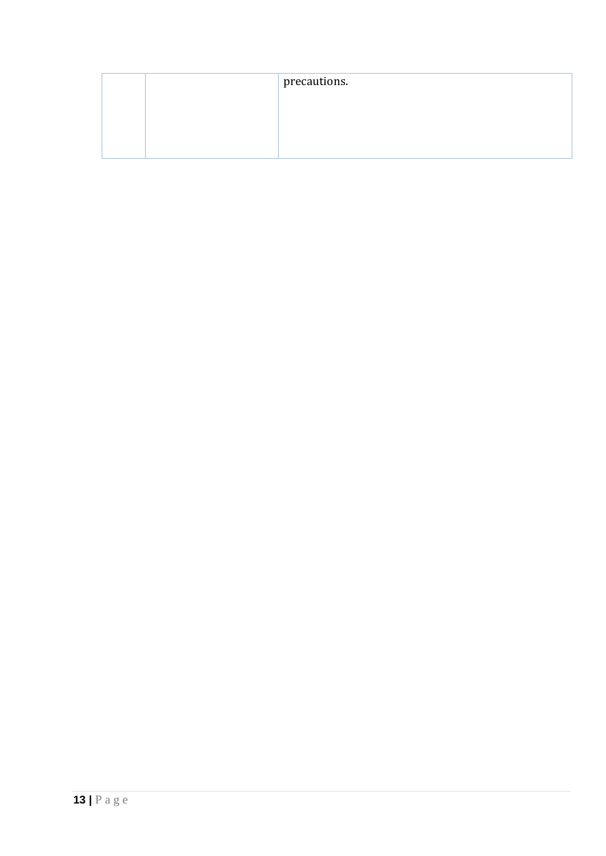| precautions. |
|--------------|
|              |
|              |
|              |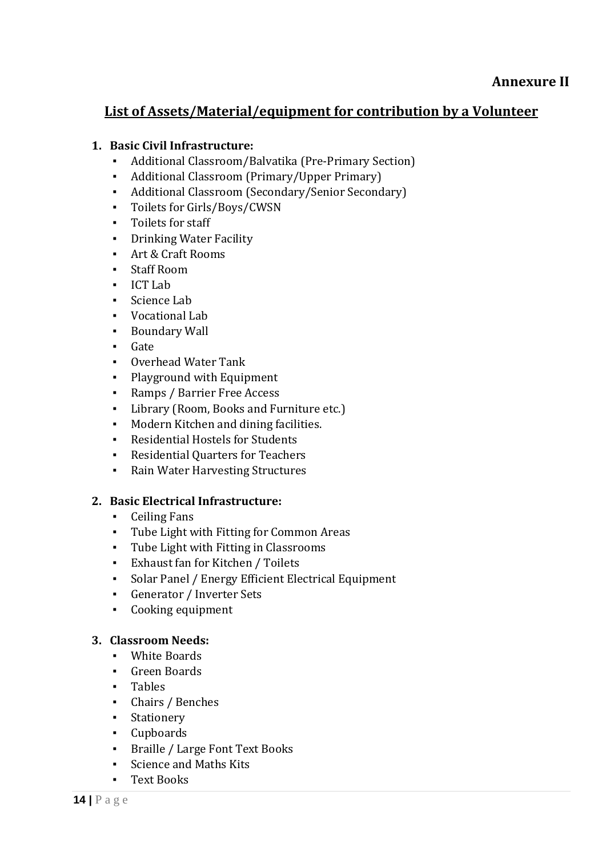# <span id="page-13-0"></span>**List of Assets/Material/equipment for contribution by a Volunteer**

#### **1. Basic Civil Infrastructure:**

- Additional Classroom/Balvatika (Pre-Primary Section)
- Additional Classroom (Primary/Upper Primary)
- Additional Classroom (Secondary/Senior Secondary)
- Toilets for Girls/Boys/CWSN
- Toilets for staff
- **•** Drinking Water Facility
- Art & Craft Rooms
- Staff Room
- ICT Lab
- Science Lab
- Vocational Lab
- Boundary Wall
- Gate
- Overhead Water Tank
- Playground with Equipment
- Ramps / Barrier Free Access
- Library (Room, Books and Furniture etc.)
- Modern Kitchen and dining facilities.
- **Residential Hostels for Students**
- Residential Quarters for Teachers
- Rain Water Harvesting Structures

#### **2. Basic Electrical Infrastructure:**

- Ceiling Fans
- Tube Light with Fitting for Common Areas
- Tube Light with Fitting in Classrooms
- Exhaust fan for Kitchen / Toilets
- Solar Panel / Energy Efficient Electrical Equipment
- Generator / Inverter Sets
- Cooking equipment

# **3. Classroom Needs:**

- White Boards
- Green Boards
- Tables
- Chairs / Benches
- **•** Stationery
- Cupboards
- Braille / Large Font Text Books
- Science and Maths Kits
- Text Books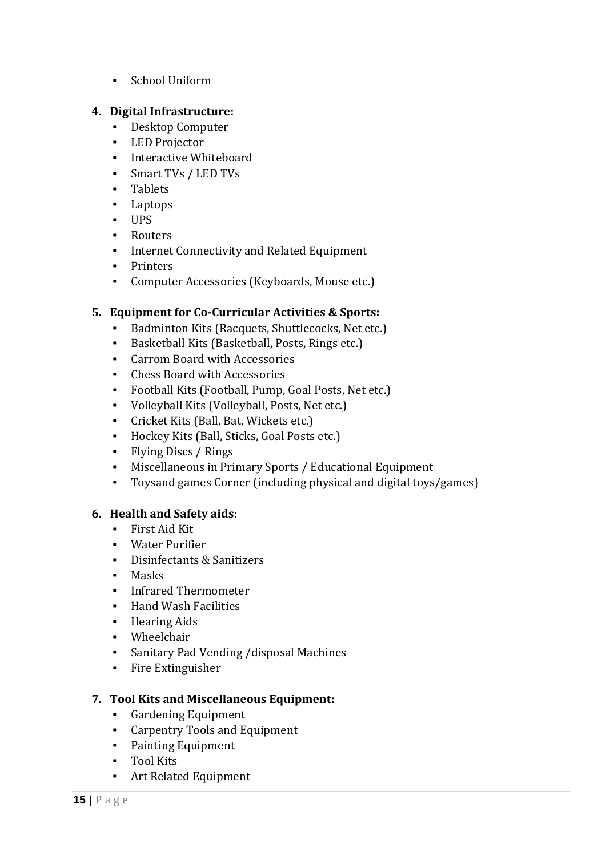▪ School Uniform

#### **4. Digital Infrastructure:**

- Desktop Computer
- LED Projector
- **·** Interactive Whiteboard
- Smart TVs / LED TVs
- Tablets
- Laptops
- UPS
- Routers
- Internet Connectivity and Related Equipment
- Printers
- Computer Accessories (Keyboards, Mouse etc.)

#### **5. Equipment for Co-Curricular Activities & Sports:**

- Badminton Kits (Racquets, Shuttlecocks, Net etc.)
- Basketball Kits (Basketball, Posts, Rings etc.)
- Carrom Board with Accessories
- Chess Board with Accessories
- Football Kits (Football, Pump, Goal Posts, Net etc.)
- Volleyball Kits (Volleyball, Posts, Net etc.)
- Cricket Kits (Ball, Bat, Wickets etc.)
- Hockey Kits (Ball, Sticks, Goal Posts etc.)
- Flying Discs / Rings
- Miscellaneous in Primary Sports / Educational Equipment
- Toysand games Corner (including physical and digital toys/games)

#### **6. Health and Safety aids:**

- **·** First Aid Kit
- Water Purifier
- Disinfectants & Sanitizers
- Masks
- Infrared Thermometer
- Hand Wash Facilities
- Hearing Aids
- Wheelchair
- Sanitary Pad Vending /disposal Machines
- Fire Extinguisher

#### **7. Tool Kits and Miscellaneous Equipment:**

- Gardening Equipment
- Carpentry Tools and Equipment
- Painting Equipment
- Tool Kits
- Art Related Equipment